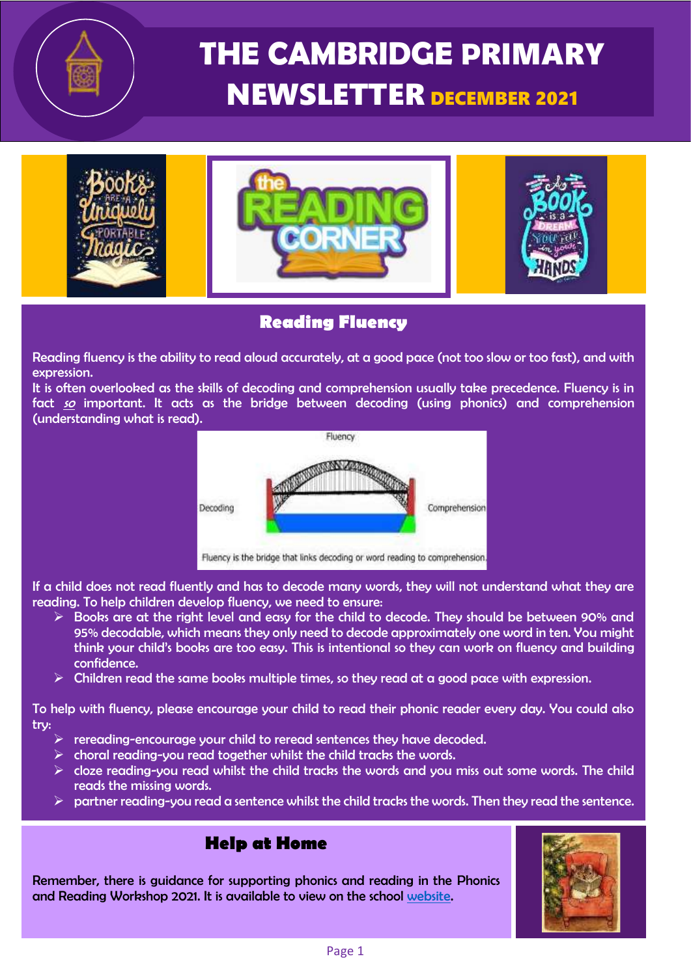# **THE CAMBRIDGE P**RIMARY NEWSLETTER DECEMBER <sup>2021</sup>



#### **Reading Fluency**

Reading fluency is the ability to read aloud accurately, at a good pace (not too slow or too fast), and with expression.

It is often overlooked as the skills of decoding and comprehension usually take precedence. Fluency is in fact so important. It acts as the bridge between decoding (using phonics) and comprehension (understanding what is read).



If a child does not read fluently and has to decode many words, they will not understand what they are reading. To help children develop fluency, we need to ensure:

- $\triangleright$  Books are at the right level and easy for the child to decode. They should be between 90% and 95% decodable, which means they only need to decode approximately one word in ten. You might think your child's books are too easy. This is intentional so they can work on fluency and building confidence.
- $\triangleright$  Children read the same books multiple times, so they read at a good pace with expression.

To help with fluency, please encourage your child to read their phonic reader every day. You could also try:

- $\triangleright$  rereading-encourage your child to reread sentences they have decoded.
- $\triangleright$  choral reading-you read together whilst the child tracks the words.
- $\triangleright$  cloze reading-you read whilst the child tracks the words and you miss out some words. The child reads the missing words.
- $\triangleright$  partner reading-you read a sentence whilst the child tracks the words. Then they read the sentence.

#### **Help at Home**

Remember, there is guidance for supporting phonics and reading in the Phonics and Reading Workshop 2021. It is available to view on the school [website.](https://www.cambridgeschool.hants.sch.uk/page/?title=Phonics+and+Reading+Workshop+2021&pid=1086)